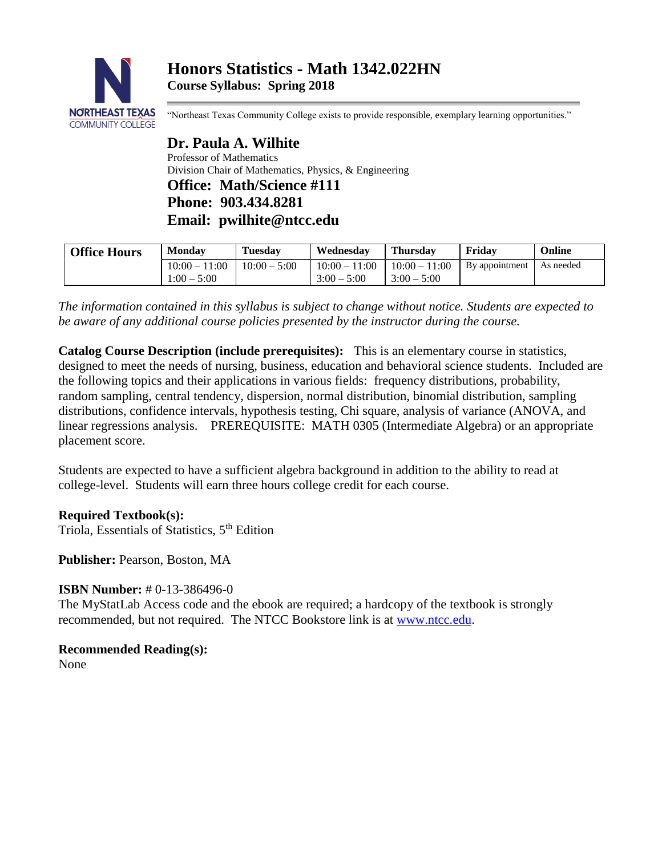

"Northeast Texas Community College exists to provide responsible, exemplary learning opportunities."

**Dr. Paula A. Wilhite** Professor of Mathematics Division Chair of Mathematics, Physics, & Engineering **Office: Math/Science #111 Phone: 903.434.8281 Email: pwilhite@ntcc.edu**

| <b>Office Hours</b> | <b>Monday</b>   | <b>Tuesday</b> | Wednesday       | <b>Thursday</b> | Fridav         | Online    |
|---------------------|-----------------|----------------|-----------------|-----------------|----------------|-----------|
|                     | $10:00 - 11:00$ | $10:00 - 5:00$ | $10:00 - 11:00$ | $10:00 - 11:00$ | By appointment | As needed |
|                     | $1:00 - 5:00$   |                | $3:00 - 5:00$   | $3:00 - 5:00$   |                |           |

*The information contained in this syllabus is subject to change without notice. Students are expected to be aware of any additional course policies presented by the instructor during the course.*

**Catalog Course Description (include prerequisites):** This is an elementary course in statistics, designed to meet the needs of nursing, business, education and behavioral science students. Included are the following topics and their applications in various fields: frequency distributions, probability, random sampling, central tendency, dispersion, normal distribution, binomial distribution, sampling distributions, confidence intervals, hypothesis testing, Chi square, analysis of variance (ANOVA, and linear regressions analysis. PREREQUISITE: MATH 0305 (Intermediate Algebra) or an appropriate placement score.

Students are expected to have a sufficient algebra background in addition to the ability to read at college-level. Students will earn three hours college credit for each course.

**Required Textbook(s):**

Triola, Essentials of Statistics, 5<sup>th</sup> Edition

**Publisher:** Pearson, Boston, MA

# **ISBN Number:** #0-13-386496-0

The MyStatLab Access code and the ebook are required; a hardcopy of the textbook is strongly recommended, but not required. The NTCC Bookstore link is at [www.ntcc.edu.](http://www.ntcc.edu/)

**Recommended Reading(s):** None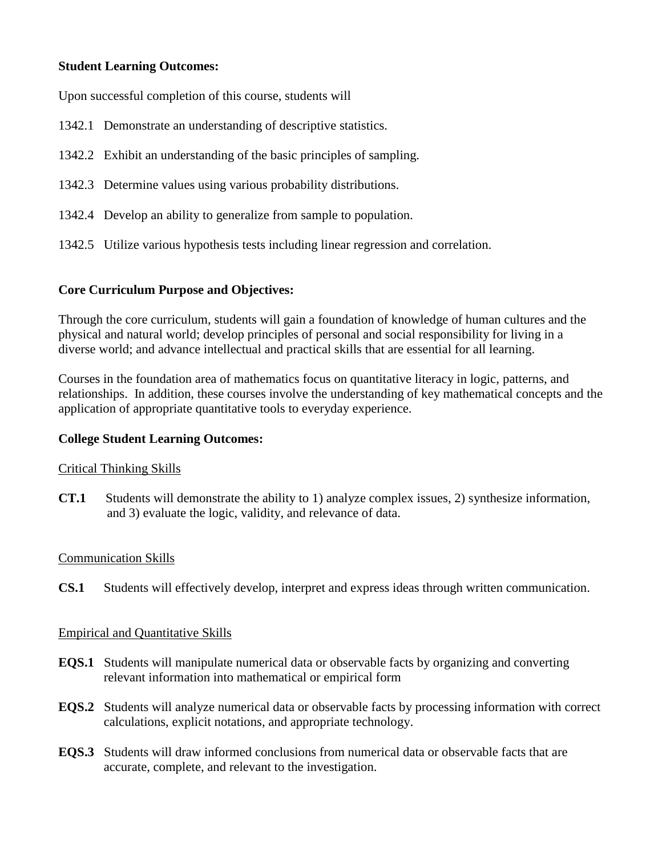# **Student Learning Outcomes:**

Upon successful completion of this course, students will

- 1342.1 Demonstrate an understanding of descriptive statistics.
- 1342.2 Exhibit an understanding of the basic principles of sampling.
- 1342.3 Determine values using various probability distributions.
- 1342.4 Develop an ability to generalize from sample to population.
- 1342.5 Utilize various hypothesis tests including linear regression and correlation.

# **Core Curriculum Purpose and Objectives:**

Through the core curriculum, students will gain a foundation of knowledge of human cultures and the physical and natural world; develop principles of personal and social responsibility for living in a diverse world; and advance intellectual and practical skills that are essential for all learning.

Courses in the foundation area of mathematics focus on quantitative literacy in logic, patterns, and relationships. In addition, these courses involve the understanding of key mathematical concepts and the application of appropriate quantitative tools to everyday experience.

# **College Student Learning Outcomes:**

### Critical Thinking Skills

**CT.1** Students will demonstrate the ability to 1) analyze complex issues, 2) synthesize information, and 3) evaluate the logic, validity, and relevance of data.

### Communication Skills

**CS.1** Students will effectively develop, interpret and express ideas through written communication.

### Empirical and Quantitative Skills

- **EQS.1** Students will manipulate numerical data or observable facts by organizing and converting relevant information into mathematical or empirical form
- **EQS.2** Students will analyze numerical data or observable facts by processing information with correct calculations, explicit notations, and appropriate technology.
- **EQS.3** Students will draw informed conclusions from numerical data or observable facts that are accurate, complete, and relevant to the investigation.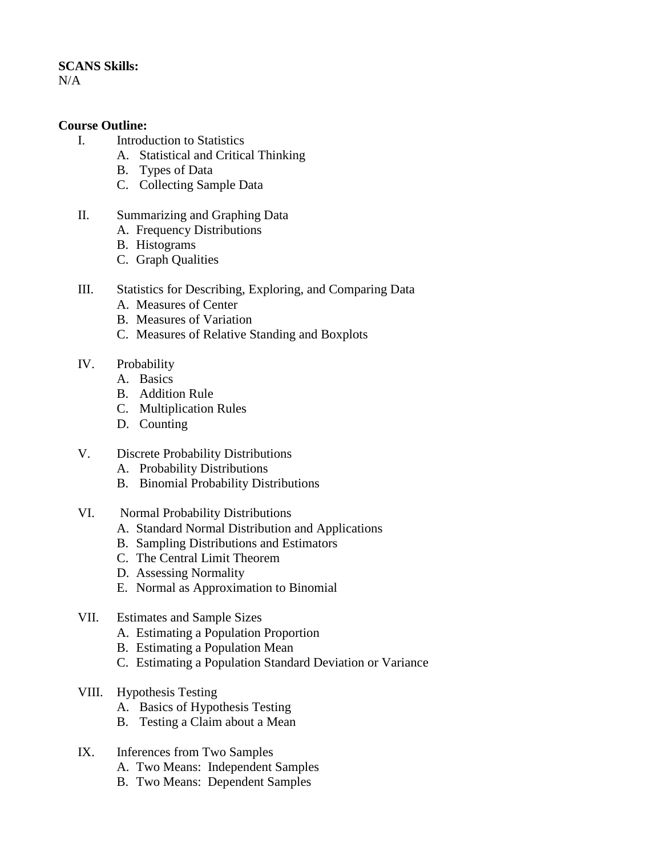### **SCANS Skills:**

N/A

## **Course Outline:**

- I. Introduction to Statistics
	- A. Statistical and Critical Thinking
		- B. Types of Data
		- C. Collecting Sample Data
- II. Summarizing and Graphing Data
	- A. Frequency Distributions
	- B. Histograms
	- C. Graph Qualities
- III. Statistics for Describing, Exploring, and Comparing Data
	- A. Measures of Center
	- B. Measures of Variation
	- C. Measures of Relative Standing and Boxplots
- IV. Probability
	- A. Basics
	- B. Addition Rule
	- C. Multiplication Rules
	- D. Counting
- V. Discrete Probability Distributions
	- A. Probability Distributions
	- B. Binomial Probability Distributions
- VI. Normal Probability Distributions
	- A. Standard Normal Distribution and Applications
	- B. Sampling Distributions and Estimators
	- C. The Central Limit Theorem
	- D. Assessing Normality
	- E. Normal as Approximation to Binomial
- VII. Estimates and Sample Sizes
	- A. Estimating a Population Proportion
	- B. Estimating a Population Mean
	- C. Estimating a Population Standard Deviation or Variance
- VIII. Hypothesis Testing
	- A. Basics of Hypothesis Testing
	- B. Testing a Claim about a Mean
- IX. Inferences from Two Samples
	- A. Two Means: Independent Samples
	- B. Two Means: Dependent Samples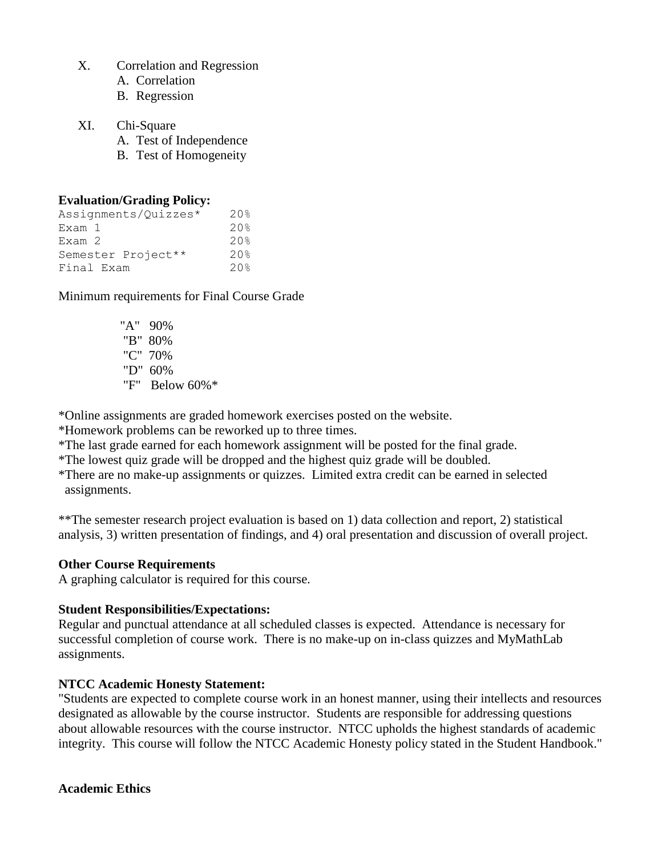- X. Correlation and Regression
	- A. Correlation
	- B. Regression
- XI. Chi-Square
	- A. Test of Independence
	- B. Test of Homogeneity

## **Evaluation/Grading Policy:**

| Assignments/Quizzes* | $20$ <sup>2</sup> |
|----------------------|-------------------|
| Exam 1               | $20$ <sup>2</sup> |
| Exam <sub>2</sub>    | $20$ <sup>2</sup> |
| Semester Project**   | $20$ <sup>2</sup> |
| Final Exam           | $20$ <sup>2</sup> |

Minimum requirements for Final Course Grade

 "A" 90% "B" 80% "C" 70% "D" 60% "F" Below 60%\*

\*Online assignments are graded homework exercises posted on the website.

\*Homework problems can be reworked up to three times.

\*The last grade earned for each homework assignment will be posted for the final grade.

\*The lowest quiz grade will be dropped and the highest quiz grade will be doubled.

\*There are no make-up assignments or quizzes. Limited extra credit can be earned in selected assignments.

\*\*The semester research project evaluation is based on 1) data collection and report, 2) statistical analysis, 3) written presentation of findings, and 4) oral presentation and discussion of overall project.

# **Other Course Requirements**

A graphing calculator is required for this course.

# **Student Responsibilities/Expectations:**

Regular and punctual attendance at all scheduled classes is expected. Attendance is necessary for successful completion of course work. There is no make-up on in-class quizzes and MyMathLab assignments.

# **NTCC Academic Honesty Statement:**

"Students are expected to complete course work in an honest manner, using their intellects and resources designated as allowable by the course instructor. Students are responsible for addressing questions about allowable resources with the course instructor. NTCC upholds the highest standards of academic integrity. This course will follow the NTCC Academic Honesty policy stated in the Student Handbook."